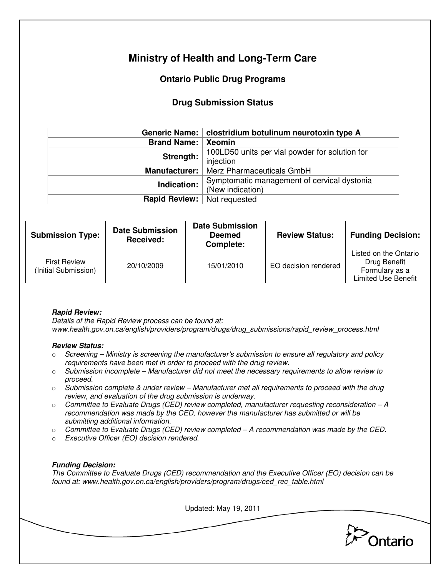# **Ministry of Health and Long-Term Care**

## **Ontario Public Drug Programs**

### **Drug Submission Status**

|                      | Generic Name:   clostridium botulinum neurotoxin type A |  |  |
|----------------------|---------------------------------------------------------|--|--|
| <b>Brand Name:</b>   | Xeomin                                                  |  |  |
| Strength:            | 100LD50 units per vial powder for solution for          |  |  |
|                      | injection                                               |  |  |
| <b>Manufacturer:</b> | Merz Pharmaceuticals GmbH                               |  |  |
| Indication:          | Symptomatic management of cervical dystonia             |  |  |
|                      | (New indication)                                        |  |  |
| <b>Rapid Review:</b> | Not requested                                           |  |  |

| <b>Submission Type:</b>                     | <b>Date Submission</b><br>Received: | <b>Date Submission</b><br><b>Deemed</b><br>Complete: | <b>Review Status:</b> | <b>Funding Decision:</b>                                                              |
|---------------------------------------------|-------------------------------------|------------------------------------------------------|-----------------------|---------------------------------------------------------------------------------------|
| <b>First Review</b><br>(Initial Submission) | 20/10/2009                          | 15/01/2010                                           | EO decision rendered  | Listed on the Ontario<br>Drug Benefit<br>Formulary as a<br><b>Limited Use Benefit</b> |

#### **Rapid Review:**

Details of the Rapid Review process can be found at: www.health.gov.on.ca/english/providers/program/drugs/drug\_submissions/rapid\_review\_process.html

#### **Review Status:**

- $\circ$  Screening Ministry is screening the manufacturer's submission to ensure all regulatory and policy requirements have been met in order to proceed with the drug review.
- $\circ$  Submission incomplete Manufacturer did not meet the necessary requirements to allow review to proceed.
- $\circ$  Submission complete & under review Manufacturer met all requirements to proceed with the drug review, and evaluation of the drug submission is underway.
- $\circ$  Committee to Evaluate Drugs (CED) review completed, manufacturer requesting reconsideration A recommendation was made by the CED, however the manufacturer has submitted or will be submitting additional information.
- $\circ$  Committee to Evaluate Drugs (CED) review completed  $-A$  recommendation was made by the CED.
- o Executive Officer (EO) decision rendered.

#### **Funding Decision:**

The Committee to Evaluate Drugs (CED) recommendation and the Executive Officer (EO) decision can be found at: www.health.gov.on.ca/english/providers/program/drugs/ced\_rec\_table.html

Updated: May 19, 2011